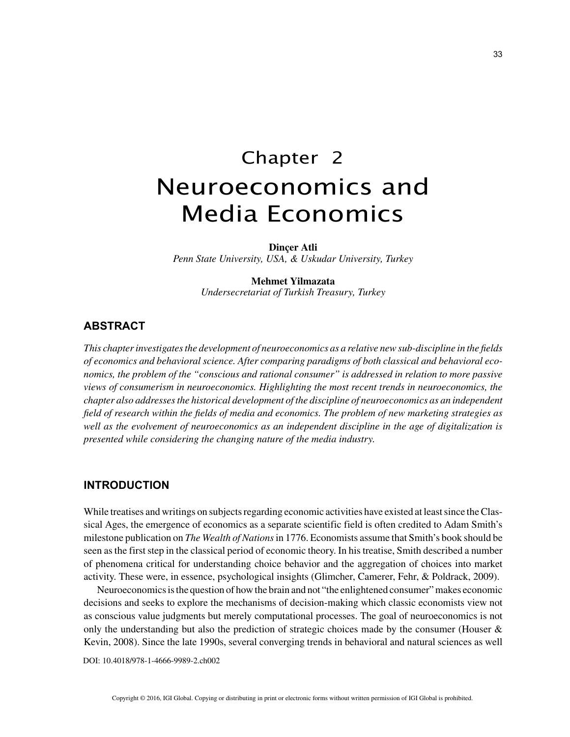33

# Chapter 2 Neuroeconomics and Media Economics

**Dinçer Atli**

*Penn State University, USA, & Uskudar University, Turkey*

### **Mehmet Yilmazata**

*Undersecretariat of Turkish Treasury, Turkey*

## **ABSTRACT**

*This chapter investigates the development of neuroeconomics as a relative new sub-discipline in the fields of economics and behavioral science. After comparing paradigms of both classical and behavioral economics, the problem of the "conscious and rational consumer" is addressed in relation to more passive views of consumerism in neuroeconomics. Highlighting the most recent trends in neuroeconomics, the chapter also addresses the historical development of the discipline of neuroeconomics as an independent field of research within the fields of media and economics. The problem of new marketing strategies as well as the evolvement of neuroeconomics as an independent discipline in the age of digitalization is presented while considering the changing nature of the media industry.*

## **INTRODUCTION**

While treatises and writings on subjects regarding economic activities have existed at least since the Classical Ages, the emergence of economics as a separate scientific field is often credited to Adam Smith's milestone publication on *The Wealth of Nations* in 1776. Economists assume that Smith's book should be seen as the first step in the classical period of economic theory. In his treatise, Smith described a number of phenomena critical for understanding choice behavior and the aggregation of choices into market activity. These were, in essence, psychological insights (Glimcher, Camerer, Fehr, & Poldrack, 2009).

Neuroeconomics is the question of how the brain and not "the enlightened consumer" makes economic decisions and seeks to explore the mechanisms of decision-making which classic economists view not as conscious value judgments but merely computational processes. The goal of neuroeconomics is not only the understanding but also the prediction of strategic choices made by the consumer (Houser  $\&$ Kevin, 2008). Since the late 1990s, several converging trends in behavioral and natural sciences as well

DOI: 10.4018/978-1-4666-9989-2.ch002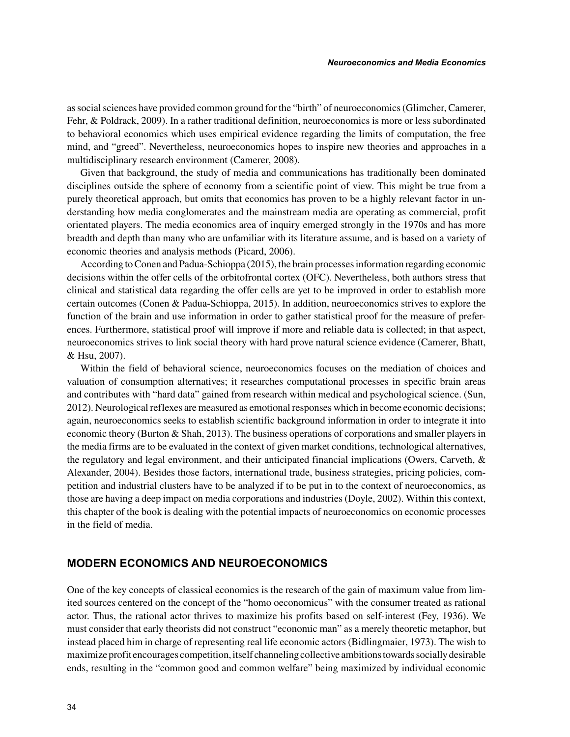as social sciences have provided common ground for the "birth" of neuroeconomics (Glimcher, Camerer, Fehr, & Poldrack, 2009). In a rather traditional definition, neuroeconomics is more or less subordinated to behavioral economics which uses empirical evidence regarding the limits of computation, the free mind, and "greed". Nevertheless, neuroeconomics hopes to inspire new theories and approaches in a multidisciplinary research environment (Camerer, 2008).

Given that background, the study of media and communications has traditionally been dominated disciplines outside the sphere of economy from a scientific point of view. This might be true from a purely theoretical approach, but omits that economics has proven to be a highly relevant factor in understanding how media conglomerates and the mainstream media are operating as commercial, profit orientated players. The media economics area of inquiry emerged strongly in the 1970s and has more breadth and depth than many who are unfamiliar with its literature assume, and is based on a variety of economic theories and analysis methods (Picard, 2006).

According to Conen and Padua-Schioppa (2015), the brain processes information regarding economic decisions within the offer cells of the orbitofrontal cortex (OFC). Nevertheless, both authors stress that clinical and statistical data regarding the offer cells are yet to be improved in order to establish more certain outcomes (Conen & Padua-Schioppa, 2015). In addition, neuroeconomics strives to explore the function of the brain and use information in order to gather statistical proof for the measure of preferences. Furthermore, statistical proof will improve if more and reliable data is collected; in that aspect, neuroeconomics strives to link social theory with hard prove natural science evidence (Camerer, Bhatt, & Hsu, 2007).

Within the field of behavioral science, neuroeconomics focuses on the mediation of choices and valuation of consumption alternatives; it researches computational processes in specific brain areas and contributes with "hard data" gained from research within medical and psychological science. (Sun, 2012). Neurological reflexes are measured as emotional responses which in become economic decisions; again, neuroeconomics seeks to establish scientific background information in order to integrate it into economic theory (Burton & Shah, 2013). The business operations of corporations and smaller players in the media firms are to be evaluated in the context of given market conditions, technological alternatives, the regulatory and legal environment, and their anticipated financial implications (Owers, Carveth, & Alexander, 2004). Besides those factors, international trade, business strategies, pricing policies, competition and industrial clusters have to be analyzed if to be put in to the context of neuroeconomics, as those are having a deep impact on media corporations and industries (Doyle, 2002). Within this context, this chapter of the book is dealing with the potential impacts of neuroeconomics on economic processes in the field of media.

## **MODERN ECONOMICS AND NEUROECONOMICS**

One of the key concepts of classical economics is the research of the gain of maximum value from limited sources centered on the concept of the "homo oeconomicus" with the consumer treated as rational actor. Thus, the rational actor thrives to maximize his profits based on self-interest (Fey, 1936). We must consider that early theorists did not construct "economic man" as a merely theoretic metaphor, but instead placed him in charge of representing real life economic actors (Bidlingmaier, 1973). The wish to maximize profit encourages competition, itself channeling collective ambitions towards socially desirable ends, resulting in the "common good and common welfare" being maximized by individual economic